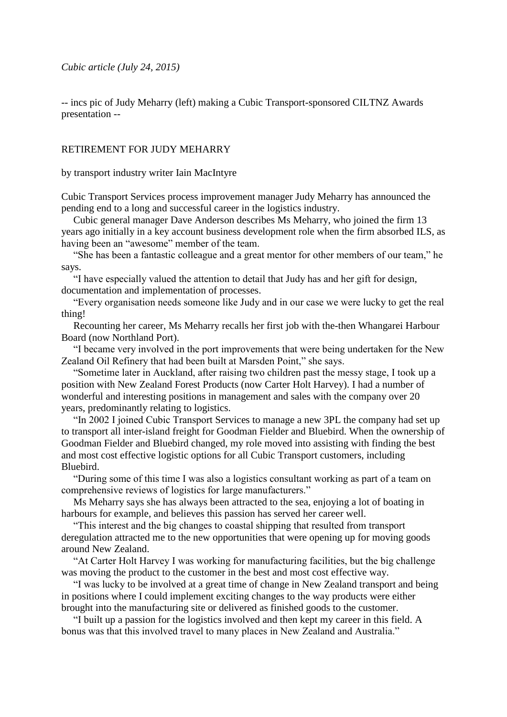-- incs pic of Judy Meharry (left) making a Cubic Transport-sponsored CILTNZ Awards presentation --

## RETIREMENT FOR JUDY MEHARRY

by transport industry writer Iain MacIntyre

Cubic Transport Services process improvement manager Judy Meharry has announced the pending end to a long and successful career in the logistics industry.

Cubic general manager Dave Anderson describes Ms Meharry, who joined the firm 13 years ago initially in a key account business development role when the firm absorbed ILS, as having been an "awesome" member of the team.

"She has been a fantastic colleague and a great mentor for other members of our team," he says.

"I have especially valued the attention to detail that Judy has and her gift for design, documentation and implementation of processes.

"Every organisation needs someone like Judy and in our case we were lucky to get the real thing!

Recounting her career, Ms Meharry recalls her first job with the-then Whangarei Harbour Board (now Northland Port).

"I became very involved in the port improvements that were being undertaken for the New Zealand Oil Refinery that had been built at Marsden Point," she says.

"Sometime later in Auckland, after raising two children past the messy stage, I took up a position with New Zealand Forest Products (now Carter Holt Harvey). I had a number of wonderful and interesting positions in management and sales with the company over 20 years, predominantly relating to logistics.

"In 2002 I joined Cubic Transport Services to manage a new 3PL the company had set up to transport all inter-island freight for Goodman Fielder and Bluebird. When the ownership of Goodman Fielder and Bluebird changed, my role moved into assisting with finding the best and most cost effective logistic options for all Cubic Transport customers, including Bluebird.

"During some of this time I was also a logistics consultant working as part of a team on comprehensive reviews of logistics for large manufacturers."

Ms Meharry says she has always been attracted to the sea, enjoying a lot of boating in harbours for example, and believes this passion has served her career well.

"This interest and the big changes to coastal shipping that resulted from transport deregulation attracted me to the new opportunities that were opening up for moving goods around New Zealand.

"At Carter Holt Harvey I was working for manufacturing facilities, but the big challenge was moving the product to the customer in the best and most cost effective way.

"I was lucky to be involved at a great time of change in New Zealand transport and being in positions where I could implement exciting changes to the way products were either brought into the manufacturing site or delivered as finished goods to the customer.

"I built up a passion for the logistics involved and then kept my career in this field. A bonus was that this involved travel to many places in New Zealand and Australia."